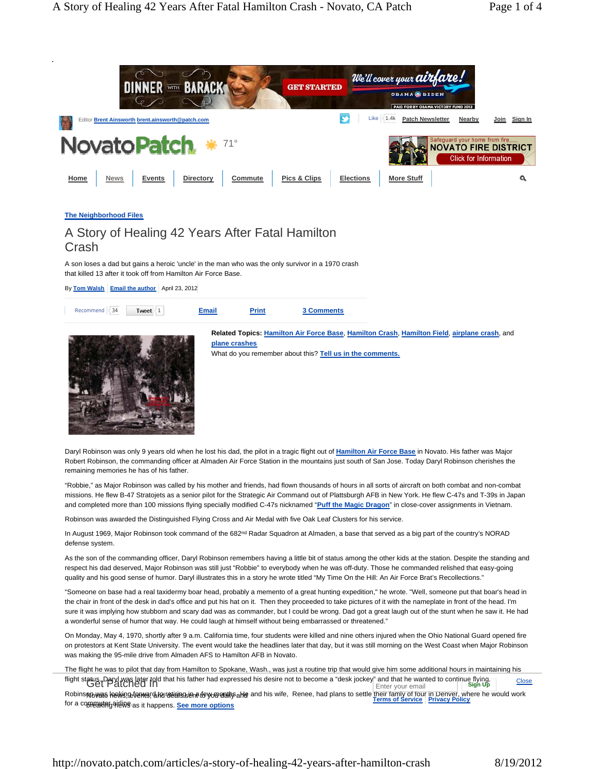

Daryl Robinson was only 9 years old when he lost his dad, the pilot in a tragic flight out of **Hamilton Air Force Base** in Novato. His father was Major Robert Robinson, the commanding officer at Almaden Air Force Station in the mountains just south of San Jose. Today Daryl Robinson cherishes the remaining memories he has of his father.

"Robbie," as Major Robinson was called by his mother and friends, had flown thousands of hours in all sorts of aircraft on both combat and non-combat missions. He flew B-47 Stratojets as a senior pilot for the Strategic Air Command out of Plattsburgh AFB in New York. He flew C-47s and T-39s in Japan and completed more than 100 missions flying specially modified C-47s nicknamed "**Puff the Magic Dragon**" in close-cover assignments in Vietnam.

Robinson was awarded the Distinguished Flying Cross and Air Medal with five Oak Leaf Clusters for his service.

In August 1969, Major Robinson took command of the 682<sup>nd</sup> Radar Squadron at Almaden, a base that served as a big part of the country's NORAD defense system.

As the son of the commanding officer, Daryl Robinson remembers having a little bit of status among the other kids at the station. Despite the standing and respect his dad deserved, Major Robinson was still just "Robbie" to everybody when he was off-duty. Those he commanded relished that easy-going quality and his good sense of humor. Daryl illustrates this in a story he wrote titled "My Time On the Hill: An Air Force Brat's Recollections."

"Someone on base had a real taxidermy boar head, probably a memento of a great hunting expedition," he wrote. "Well, someone put that boar's head in the chair in front of the desk in dad's office and put his hat on it. Then they proceeded to take pictures of it with the nameplate in front of the head. I'm sure it was implying how stubborn and scary dad was as commander, but I could be wrong. Dad got a great laugh out of the stunt when he saw it. He had a wonderful sense of humor that way. He could laugh at himself without being embarrassed or threatened."

On Monday, May 4, 1970, shortly after 9 a.m. California time, four students were killed and nine others injured when the Ohio National Guard opened fire on protestors at Kent State University. The event would take the headlines later that day, but it was still morning on the West Coast when Major Robinson was making the 95-mile drive from Almaden AFS to Hamilton AFB in Novato.

The flight he was to pilot that day from Hamilton to Spokane, Wash., was just a routine trip that would give him some additional hours in maintaining his flight status. Daryl was later told that his father had expressed his desire not to become a "desk jockey" and that he wanted to continue flying. Get Patched In Enter your email **Sign Up** Close

Robinsnowas helvis strang dan retigies in the you wash and his wife, Renee, had plans to settle their family of four in Denver, where he would work<br>for a serve that settles which his settle and the settles of Service Priva for a comealith gaile we as it happens. <mark>See more options</mark>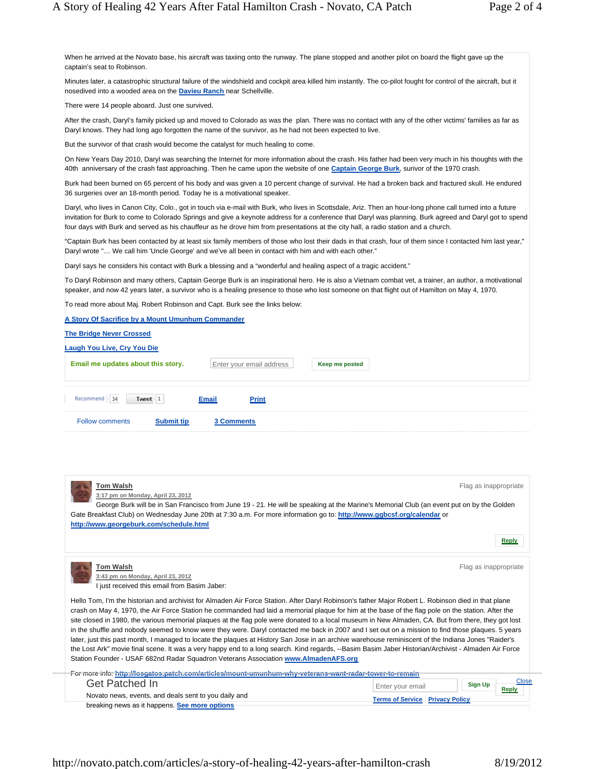When he arrived at the Novato base, his aircraft was taxiing onto the runway. The plane stopped and another pilot on board the flight gave up the captain's seat to Robinson.

Minutes later, a catastrophic structural failure of the windshield and cockpit area killed him instantly. The co-pilot fought for control of the aircraft, but it nosedived into a wooded area on the **Davieu Ranch** near Schellville.

There were 14 people aboard. Just one survived.

After the crash, Daryl's family picked up and moved to Colorado as was the plan. There was no contact with any of the other victims' families as far as Daryl knows. They had long ago forgotten the name of the survivor, as he had not been expected to live.

But the survivor of that crash would become the catalyst for much healing to come.

On New Years Day 2010, Daryl was searching the Internet for more information about the crash. His father had been very much in his thoughts with the 40th anniversary of the crash fast approaching. Then he came upon the website of one **Captain George Burk**, surivor of the 1970 crash.

Burk had been burned on 65 percent of his body and was given a 10 percent change of survival. He had a broken back and fractured skull. He endured 36 surgeries over an 18-month period. Today he is a motivational speaker.

Daryl, who lives in Canon City, Colo., got in touch via e-mail with Burk, who lives in Scottsdale, Ariz. Then an hour-long phone call turned into a future invitation for Burk to come to Colorado Springs and give a keynote address for a conference that Daryl was planning. Burk agreed and Daryl got to spend four days with Burk and served as his chauffeur as he drove him from presentations at the city hall, a radio station and a church.

"Captain Burk has been contacted by at least six family members of those who lost their dads in that crash, four of them since I contacted him last year," Daryl wrote "… We call him 'Uncle George' and we've all been in contact with him and with each other."

Daryl says he considers his contact with Burk a blessing and a "wonderful and healing aspect of a tragic accident."

To Daryl Robinson and many others, Captain George Burk is an inspirational hero. He is also a Vietnam combat vet, a trainer, an author, a motivational speaker, and now 42 years later, a survivor who is a healing presence to those who lost someone on that flight out of Hamilton on May 4, 1970.

To read more about Maj. Robert Robinson and Capt. Burk see the links below:

| A Story Of Sacrifice by a Mount Umunhum Commander |                              |                |  |  |  |
|---------------------------------------------------|------------------------------|----------------|--|--|--|
| <b>The Bridge Never Crossed</b>                   |                              |                |  |  |  |
| Laugh You Live, Cry You Die                       |                              |                |  |  |  |
| Email me updates about this story.                | Enter your email address     | Keep me posted |  |  |  |
| Recommend $\leq 34$<br>Tweet $\leq 1$             | <b>Print</b><br><b>Email</b> |                |  |  |  |
| <b>Follow comments</b><br><b>Submit tip</b>       | <b>3 Comments</b>            |                |  |  |  |

| <b>Tom Walsh</b><br>3:17 pm on Monday, April 23, 2012<br>George Burk will be in San Francisco from June 19 - 21. He will be speaking at the Marine's Memorial Club (an event put on by the Golden<br>Gate Breakfast Club) on Wednesday June 20th at 7:30 a.m. For more information go to: http://www.ggbcsf.org/calendar or<br>http://www.georgeburk.com/schedule.html                                                                                                                                                                                                                                                                                                                                                                                                                                                                                                                                                                                                                                                       |                                        | Flag as inappropriate<br><b>Reply</b> |
|------------------------------------------------------------------------------------------------------------------------------------------------------------------------------------------------------------------------------------------------------------------------------------------------------------------------------------------------------------------------------------------------------------------------------------------------------------------------------------------------------------------------------------------------------------------------------------------------------------------------------------------------------------------------------------------------------------------------------------------------------------------------------------------------------------------------------------------------------------------------------------------------------------------------------------------------------------------------------------------------------------------------------|----------------------------------------|---------------------------------------|
| <b>Tom Walsh</b><br>3:43 pm on Monday, April 23, 2012<br>I just received this email from Basim Jaber:                                                                                                                                                                                                                                                                                                                                                                                                                                                                                                                                                                                                                                                                                                                                                                                                                                                                                                                        |                                        | Flag as inappropriate                 |
| Hello Tom, I'm the historian and archivist for Almaden Air Force Station. After Daryl Robinson's father Major Robert L. Robinson died in that plane<br>crash on May 4, 1970, the Air Force Station he commanded had laid a memorial plaque for him at the base of the flag pole on the station. After the<br>site closed in 1980, the various memorial plaques at the flag pole were donated to a local museum in New Almaden, CA. But from there, they got lost<br>in the shuffle and nobody seemed to know were they were. Daryl contacted me back in 2007 and I set out on a mission to find those plaques. 5 years<br>later, just this past month, I managed to locate the plaques at History San Jose in an archive warehouse reminiscent of the Indiana Jones "Raider's<br>the Lost Ark" movie final scene. It was a very happy end to a long search. Kind regards, --Basim Basim Jaber Historian/Archivist - Almaden Air Force<br>Station Founder - USAF 682nd Radar Squadron Veterans Association www.AlmadenAFS.org |                                        |                                       |
| For more info: http://losgatos.patch.com/articles/mount-umunhum-why-veterans-want-radar-tower-to-remain                                                                                                                                                                                                                                                                                                                                                                                                                                                                                                                                                                                                                                                                                                                                                                                                                                                                                                                      |                                        |                                       |
| Get Patched In                                                                                                                                                                                                                                                                                                                                                                                                                                                                                                                                                                                                                                                                                                                                                                                                                                                                                                                                                                                                               | <b>Sign Up</b><br>Enter your email     | Close<br><b>Reply</b>                 |
| Novato news, events, and deals sent to you daily and                                                                                                                                                                                                                                                                                                                                                                                                                                                                                                                                                                                                                                                                                                                                                                                                                                                                                                                                                                         | <b>Terms of Service Privacy Policy</b> |                                       |
| breaking news as it happens. See more options                                                                                                                                                                                                                                                                                                                                                                                                                                                                                                                                                                                                                                                                                                                                                                                                                                                                                                                                                                                |                                        |                                       |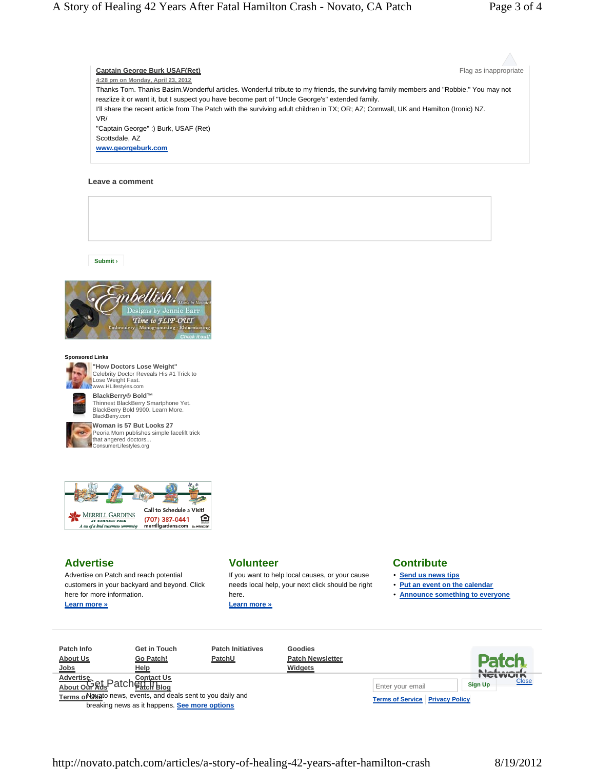**Captain George Burk USAF(Ret) Flag as inappropriate Captain George Burk USAF(Ret) Flag as inappropriate 4:28 pm on Monday, April 23, 2012** Thanks Tom. Thanks Basim.Wonderful articles. Wonderful tribute to my friends, the surviving family members and "Robbie." You may not reazlize it or want it, but I suspect you have become part of "Uncle George's" extended family. I'll share the recent article from The Patch with the surviving adult children in TX; OR; AZ; Cornwall, UK and Hamilton (Ironic) NZ. VR/ "Captain George" :) Burk, USAF (Ret) Scottsdale, AZ **www.georgeburk.com**

### **Leave a comment**

**Submit ›**



### **Sponsored Links**



**"How Doctors Lose Weight"**  Celebrity Doctor Reveals His #1 Trick to Lose Weight Fast. www.HLifestyles.com

BlackBerry.com



**Woman is 57 But Looks 27**  Peoria Mom publishes simple facelift trick that angered doctors... ConsumerLifestyles.org

Thinnest BlackBerry Smartphone Yet. BlackBerry Bold 9900. Learn More.



# **Advertise**

Advertise on Patch and reach potential customers in your backyard and beyond. Click here for more information. **Learn more »**

## **Volunteer**

If you want to help local causes, or your cause needs local help, your next click should be right here.

**Learn more »**

### **Contribute**

- **Send us news tips**
- **Put an event on the calendar**
- **Announce something to everyone**



http://novato.patch.com/articles/a-story-of-healing-42-years-after-hamilton-crash 8/19/2012